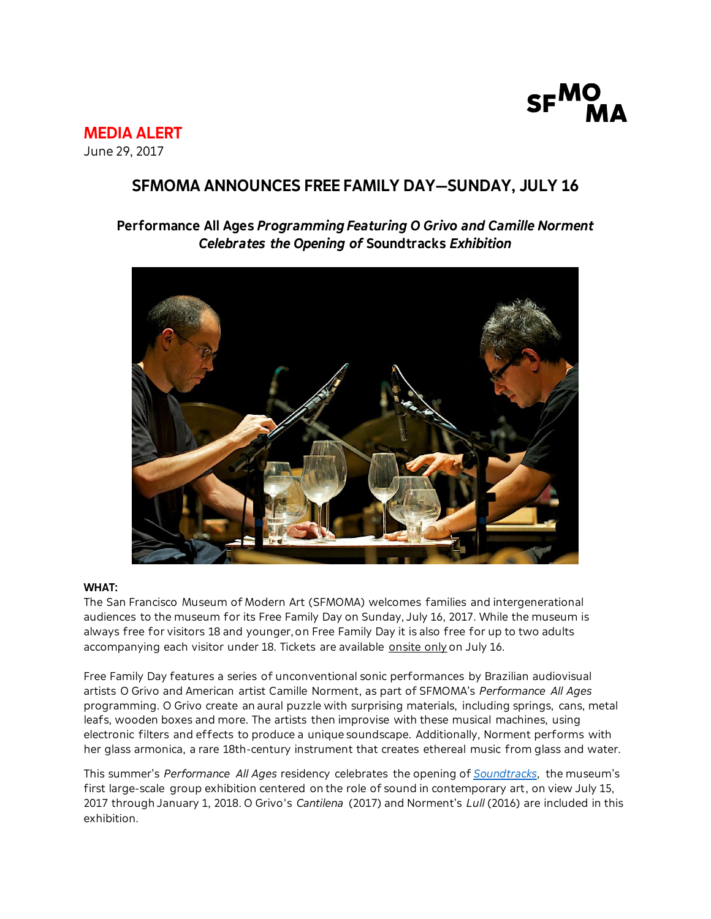

**MEDIA ALERT** June 29, 2017

# **SFMOMA ANNOUNCES FREE FAMILY DAY—SUNDAY, JULY 16**

# **Performance All Ages** *Programming Featuring O Grivo and Camille Norment Celebrates the Opening of* **Soundtracks** *Exhibition*



## **WHAT:**

The San Francisco Museum of Modern Art (SFMOMA) welcomes families and intergenerational audiences to the museum for its Free Family Day on Sunday, July 16, 2017. While the museum is always free for visitors 18 and younger, on Free Family Day it is also free for up to two adults accompanying each visitor under 18. Tickets are available onsite only on July 16.

Free Family Day features a series of unconventional sonic performances by Brazilian audiovisual artists O Grivo and American artist Camille Norment, as part of SFMOMA's *Performance All Ages* programming. O Grivo create an aural puzzle with surprising materials, including springs, cans, metal leafs, wooden boxes and more. The artists then improvise with these musical machines, using electronic filters and effects to produce a unique soundscape. Additionally, Norment performs with her glass armonica, a rare 18th-century instrument that creates ethereal music from glass and water.

This summer's *Performance All Ages* residency celebrates the opening of *[Soundtracks](https://www.sfmoma.org/exhibition/soundtracks/)*, the museum's first large-scale group exhibition centered on the role of sound in contemporary art, on view July 15, 2017 through January 1, 2018. O Grivo's *Cantilena* (2017) and Norment's *Lull* (2016) are included in this exhibition.